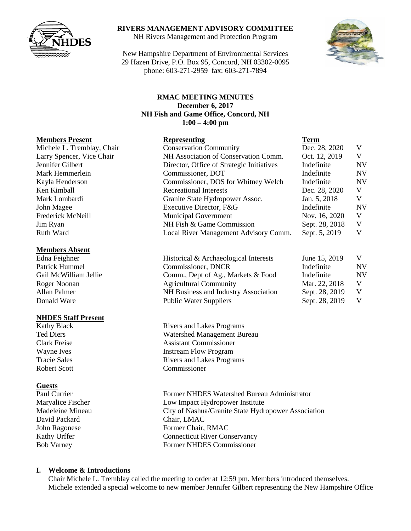

## **RIVERS MANAGEMENT ADVISORY COMMITTEE**

NH Rivers Management and Protection Program

New Hampshire Department of Environmental Services 29 Hazen Drive, P.O. Box 95, Concord, NH 03302-0095 phone: 603-271-2959 fax: 603-271-7894



#### **RMAC MEETING MINUTES December 6, 2017 NH Fish and Game Office, Concord, NH 1:00 – 4:00 pm**

#### **Members Absent**

#### **NHDES Staff Present**

#### **Guests**

David Packard Chair, LMAC

### **Members Present Representing Term** Michele L. Tremblay, Chair Conservation Community Dec. 28, 2020 V Larry Spencer, Vice Chair NH Association of Conservation Comm. Oct. 12, 2019 V Jennifer Gilbert Director, Office of Strategic Initiatives Indefinite NV Mark Hemmerlein **Commissioner, DOT** Indefinite NV Kayla Henderson Commissioner, DOS for Whitney Welch Indefinite NV Ken Kimball Recreational Interests Dec. 28, 2020 V Mark Lombardi Granite State Hydropower Assoc. Jan. 5, 2018 V John Magee Executive Director, F&G Indefinite NV Frederick McNeill **Municipal Government** Nov. 16, 2020 V Jim Ryan NH Fish & Game Commission Sept. 28, 2018 V Ruth Ward Local River Management Advisory Comm. Sept. 5, 2019 V

| Edna Feighner         | Historical & Archaeological Interests | June 15, 2019  | V         |
|-----------------------|---------------------------------------|----------------|-----------|
| Patrick Hummel        | Commissioner, DNCR                    | Indefinite     | <b>NV</b> |
| Gail McWilliam Jellie | Comm., Dept of Ag., Markets & Food    | Indefinite     | <b>NV</b> |
| Roger Noonan          | <b>Agricultural Community</b>         | Mar. 22, 2018  |           |
| Allan Palmer          | NH Business and Industry Association  | Sept. 28, 2019 |           |
| Donald Ware           | <b>Public Water Suppliers</b>         | Sept. 28, 2019 |           |

Kathy Black Rivers and Lakes Programs Ted Diers Watershed Management Bureau Clark Freise Assistant Commissioner Wayne Ives Instream Flow Program Tracie Sales **Rivers** and Lakes Programs Robert Scott Commissioner

Paul Currier Former NHDES Watershed Bureau Administrator Maryalice Fischer Low Impact Hydropower Institute Madeleine Mineau City of Nashua/Granite State Hydropower Association John Ragonese Former Chair, RMAC Kathy Urffer Connecticut River Conservancy Bob Varney Former NHDES Commissioner

## **I. Welcome & Introductions**

Chair Michele L. Tremblay called the meeting to order at 12:59 pm. Members introduced themselves. Michele extended a special welcome to new member Jennifer Gilbert representing the New Hampshire Office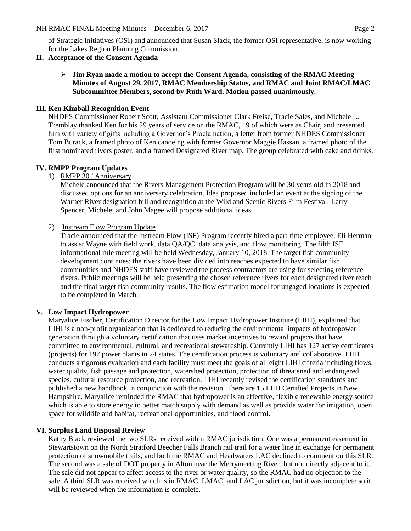of Strategic Initiatives (OSI) and announced that Susan Slack, the former OSI representative, is now working for the Lakes Region Planning Commission.

## **II. Acceptance of the Consent Agenda**

### **Jim Ryan made a motion to accept the Consent Agenda, consisting of the RMAC Meeting Minutes of August 29, 2017, RMAC Membership Status, and RMAC and Joint RMAC/LMAC Subcommittee Members, second by Ruth Ward. Motion passed unanimously.**

## **III. Ken Kimball Recognition Event**

NHDES Commissioner Robert Scott, Assistant Commissioner Clark Freise, Tracie Sales, and Michele L. Tremblay thanked Ken for his 29 years of service on the RMAC, 19 of which were as Chair, and presented him with variety of gifts including a Governor's Proclamation, a letter from former NHDES Commissioner Tom Burack, a framed photo of Ken canoeing with former Governor Maggie Hassan, a framed photo of the first nominated rivers poster, and a framed Designated River map. The group celebrated with cake and drinks.

## **IV. RMPP Program Updates**

1) RMPP 30<sup>th</sup> Anniversary

Michele announced that the Rivers Management Protection Program will be 30 years old in 2018 and discussed options for an anniversary celebration. Idea proposed included an event at the signing of the Warner River designation bill and recognition at the Wild and Scenic Rivers Film Festival. Larry Spencer, Michele, and John Magee will propose additional ideas.

#### 2) Instream Flow Program Update

Tracie announced that the Instream Flow (ISF) Program recently hired a part-time employee, Eli Herman to assist Wayne with field work, data QA/QC, data analysis, and flow monitoring. The fifth ISF informational rule meeting will be held Wednesday, January 10, 2018. The target fish community development continues: the rivers have been divided into reaches expected to have similar fish communities and NHDES staff have reviewed the process contractors are using for selecting reference rivers. Public meetings will be held presenting the chosen reference rivers for each designated river reach and the final target fish community results. The flow estimation model for ungaged locations is expected to be completed in March.

#### **V. Low Impact Hydropower**

Maryalice Fischer, Certification Director for the Low Impact Hydropower Institute (LIHI), explained that LIHI is a non-profit organization that is dedicated to reducing the environmental impacts of hydropower generation through a voluntary certification that uses market incentives to reward projects that have committed to environmental, cultural, and recreational stewardship. Currently LIHI has 127 active certificates (projects) for 197 power plants in 24 states. The certification process is voluntary and collaborative. LIHI conducts a rigorous evaluation and each facility must meet the goals of all eight LIHI criteria including flows, water quality, fish passage and protection, watershed protection, protection of threatened and endangered species, cultural resource protection, and recreation. LIHI recently revised the certification standards and published a new handbook in conjunction with the revision. There are 15 LIHI Certified Projects in New Hampshire. Maryalice reminded the RMAC that hydropower is an effective, flexible renewable energy source which is able to store energy to better match supply with demand as well as provide water for irrigation, open space for wildlife and habitat, recreational opportunities, and flood control.

#### **VI. Surplus Land Disposal Review**

Kathy Black reviewed the two SLRs received within RMAC jurisdiction. One was a permanent easement in Stewartstown on the North Stratford Beecher Falls Branch rail trail for a water line in exchange for permanent protection of snowmobile trails, and both the RMAC and Headwaters LAC declined to comment on this SLR. The second was a sale of DOT property in Alton near the Merrymeeting River, but not directly adjacent to it. The sale did not appear to affect access to the river or water quality, so the RMAC had no objection to the sale. A third SLR was received which is in RMAC, LMAC, and LAC jurisdiction, but it was incomplete so it will be reviewed when the information is complete.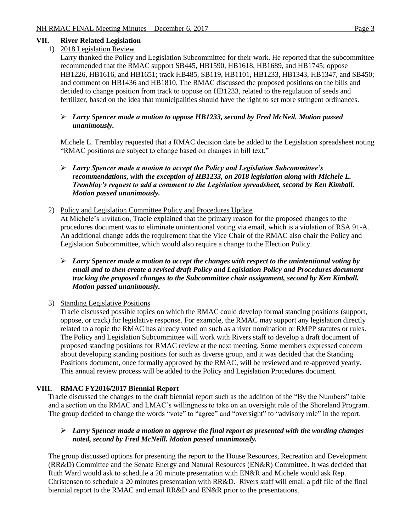## **VII. River Related Legislation**

## 1) 2018 Legislation Review

Larry thanked the Policy and Legislation Subcommittee for their work. He reported that the subcommittee recommended that the RMAC support SB445, HB1590, HB1618, HB1689, and HB1745; oppose HB1226, HB1616, and HB1651; track HB485, SB119, HB1101, HB1233, HB1343, HB1347, and SB450; and comment on HB1436 and HB1810. The RMAC discussed the proposed positions on the bills and decided to change position from track to oppose on HB1233, related to the regulation of seeds and fertilizer, based on the idea that municipalities should have the right to set more stringent ordinances.

## *Larry Spencer made a motion to oppose HB1233, second by Fred McNeil. Motion passed unanimously.*

Michele L. Tremblay requested that a RMAC decision date be added to the Legislation spreadsheet noting "RMAC positions are subject to change based on changes in bill text."

### *Larry Spencer made a motion to accept the Policy and Legislation Subcommittee's recommendations, with the exception of HB1233, on 2018 legislation along with Michele L. Tremblay's request to add a comment to the Legislation spreadsheet, second by Ken Kimball. Motion passed unanimously.*

## 2) Policy and Legislation Committee Policy and Procedures Update

At Michele's invitation, Tracie explained that the primary reason for the proposed changes to the procedures document was to eliminate unintentional voting via email, which is a violation of RSA 91-A. An additional change adds the requirement that the Vice Chair of the RMAC also chair the Policy and Legislation Subcommittee, which would also require a change to the Election Policy.

## *Larry Spencer made a motion to accept the changes with respect to the unintentional voting by email and to then create a revised draft Policy and Legislation Policy and Procedures document tracking the proposed changes to the Subcommittee chair assignment, second by Ken Kimball. Motion passed unanimously.*

## 3) Standing Legislative Positions

Tracie discussed possible topics on which the RMAC could develop formal standing positions (support, oppose, or track) for legislative response. For example, the RMAC may support any legislation directly related to a topic the RMAC has already voted on such as a river nomination or RMPP statutes or rules. The Policy and Legislation Subcommittee will work with Rivers staff to develop a draft document of proposed standing positions for RMAC review at the next meeting. Some members expressed concern about developing standing positions for such as diverse group, and it was decided that the Standing Positions document, once formally approved by the RMAC, will be reviewed and re-approved yearly. This annual review process will be added to the Policy and Legislation Procedures document.

## **VIII. RMAC FY2016/2017 Biennial Report**

Tracie discussed the changes to the draft biennial report such as the addition of the "By the Numbers" table and a section on the RMAC and LMAC's willingness to take on an oversight role of the Shoreland Program. The group decided to change the words "vote" to "agree" and "oversight" to "advisory role" in the report.

## *Larry Spencer made a motion to approve the final report as presented with the wording changes noted, second by Fred McNeill. Motion passed unanimously.*

The group discussed options for presenting the report to the House Resources, Recreation and Development (RR&D) Committee and the Senate Energy and Natural Resources (EN&R) Committee. It was decided that Ruth Ward would ask to schedule a 20 minute presentation with EN&R and Michele would ask Rep. Christensen to schedule a 20 minutes presentation with RR&D. Rivers staff will email a pdf file of the final biennial report to the RMAC and email RR&D and EN&R prior to the presentations.